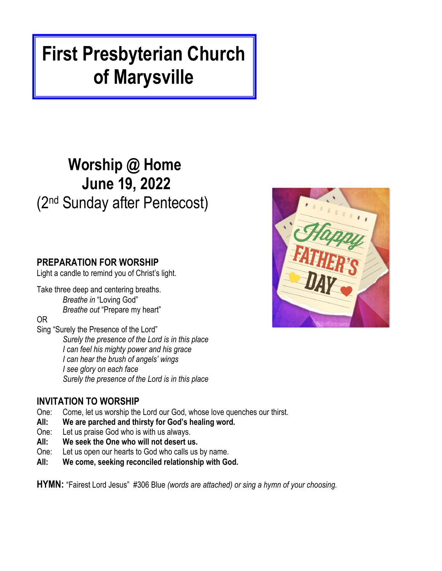# **First Presbyterian Church of Marysville**

# **Worship @ Home June 19, 2022** (2nd Sunday after Pentecost)

# **PREPARATION FOR WORSHIP**

Light a candle to remind you of Christ's light.

Take three deep and centering breaths. *Breathe in* "Loving God" *Breathe out* "Prepare my heart"

OR

Sing "Surely the Presence of the Lord" *Surely the presence of the Lord is in this place I can feel his mighty power and his grace I can hear the brush of angels' wings I see glory on each face Surely the presence of the Lord is in this place*

# **INVITATION TO WORSHIP**

- One: Come, let us worship the Lord our God, whose love quenches our thirst.
- **All: We are parched and thirsty for God's healing word.**
- One: Let us praise God who is with us always.
- **All: We seek the One who will not desert us.**
- One: Let us open our hearts to God who calls us by name.
- **All: We come, seeking reconciled relationship with God.**

**HYMN:** "Fairest Lord Jesus" #306 Blue *(words are attached) or sing a hymn of your choosing.*

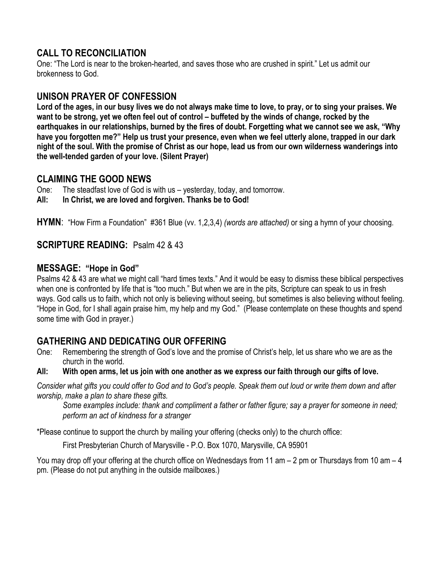# **CALL TO RECONCILIATION**

One: "The Lord is near to the broken-hearted, and saves those who are crushed in spirit." Let us admit our brokenness to God.

#### **UNISON PRAYER OF CONFESSION**

**Lord of the ages, in our busy lives we do not always make time to love, to pray, or to sing your praises. We want to be strong, yet we often feel out of control – buffeted by the winds of change, rocked by the earthquakes in our relationships, burned by the fires of doubt. Forgetting what we cannot see we ask, "Why have you forgotten me?" Help us trust your presence, even when we feel utterly alone, trapped in our dark night of the soul. With the promise of Christ as our hope, lead us from our own wilderness wanderings into the well-tended garden of your love. (Silent Prayer)**

#### **CLAIMING THE GOOD NEWS**

One: The steadfast love of God is with us – yesterday, today, and tomorrow.

**All: In Christ, we are loved and forgiven. Thanks be to God!**

**HYMN**: "How Firm a Foundation" #361 Blue (vv. 1,2,3,4) *(words are attached)* or sing a hymn of your choosing.

#### **SCRIPTURE READING:** Psalm 42 & 43

#### **MESSAGE: "Hope in God"**

Psalms 42 & 43 are what we might call "hard times texts." And it would be easy to dismiss these biblical perspectives when one is confronted by life that is "too much." But when we are in the pits, Scripture can speak to us in fresh ways. God calls us to faith, which not only is believing without seeing, but sometimes is also believing without feeling. "Hope in God, for I shall again praise him, my help and my God." (Please contemplate on these thoughts and spend some time with God in prayer.)

# **GATHERING AND DEDICATING OUR OFFERING**

- One: Remembering the strength of God's love and the promise of Christ's help, let us share who we are as the church in the world.
- **All: With open arms, let us join with one another as we express our faith through our gifts of love.**

*Consider what gifts you could offer to God and to God's people. Speak them out loud or write them down and after worship, make a plan to share these gifts.* 

*Some examples include: thank and compliment a father or father figure; say a prayer for someone in need; perform an act of kindness for a stranger* 

\*Please continue to support the church by mailing your offering (checks only) to the church office:

First Presbyterian Church of Marysville - P.O. Box 1070, Marysville, CA 95901

You may drop off your offering at the church office on Wednesdays from 11 am – 2 pm or Thursdays from 10 am – 4 pm. (Please do not put anything in the outside mailboxes.)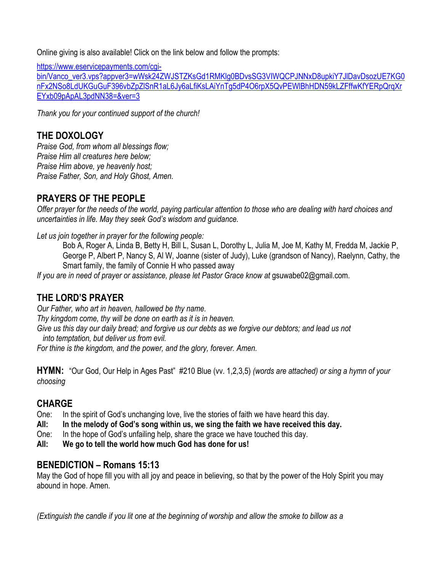Online giving is also available! Click on the link below and follow the prompts:

https://www.eservicepayments.com/cgi-

bin/Vanco\_ver3.vps?appver3=wWsk24ZWJSTZKsGd1RMKlg0BDvsSG3VIWQCPJNNxD8upkiY7JlDavDsozUE7KG0 nFx2NSo8LdUKGuGuF396vbZpZlSnR1aL6Jy6aLfiKsLAiYnTg5dP4O6rpX5QvPEWlBhHDN59kLZFffwKfYERpQrqXr EYxb09pApAL3pdNN38=&ver=3

*Thank you for your continued support of the church!* 

# **THE DOXOLOGY**

*Praise God, from whom all blessings flow; Praise Him all creatures here below; Praise Him above, ye heavenly host; Praise Father, Son, and Holy Ghost, Amen.*

# **PRAYERS OF THE PEOPLE**

*Offer prayer for the needs of the world, paying particular attention to those who are dealing with hard choices and uncertainties in life. May they seek God's wisdom and guidance.* 

*Let us join together in prayer for the following people:* 

Bob A, Roger A, Linda B, Betty H, Bill L, Susan L, Dorothy L, Julia M, Joe M, Kathy M, Fredda M, Jackie P, George P, Albert P, Nancy S, Al W, Joanne (sister of Judy), Luke (grandson of Nancy), Raelynn, Cathy, the Smart family, the family of Connie H who passed away

*If you are in need of prayer or assistance, please let Pastor Grace know at* gsuwabe02@gmail.com.

# **THE LORD'S PRAYER**

*Our Father, who art in heaven, hallowed be thy name. Thy kingdom come, thy will be done on earth as it is in heaven. Give us this day our daily bread; and forgive us our debts as we forgive our debtors; and lead us not into temptation, but deliver us from evil. For thine is the kingdom, and the power, and the glory, forever. Amen.*

**HYMN:** "Our God, Our Help in Ages Past" #210 Blue (vv. 1,2,3,5) *(words are attached) or sing a hymn of your choosing*

# **CHARGE**

One: In the spirit of God's unchanging love, live the stories of faith we have heard this day.

- **All: In the melody of God's song within us, we sing the faith we have received this day.**
- One: In the hope of God's unfailing help, share the grace we have touched this day.

**All: We go to tell the world how much God has done for us!**

#### **BENEDICTION – Romans 15:13**

May the God of hope fill you with all joy and peace in believing, so that by the power of the Holy Spirit you may abound in hope. Amen.

*(Extinguish the candle if you lit one at the beginning of worship and allow the smoke to billow as a*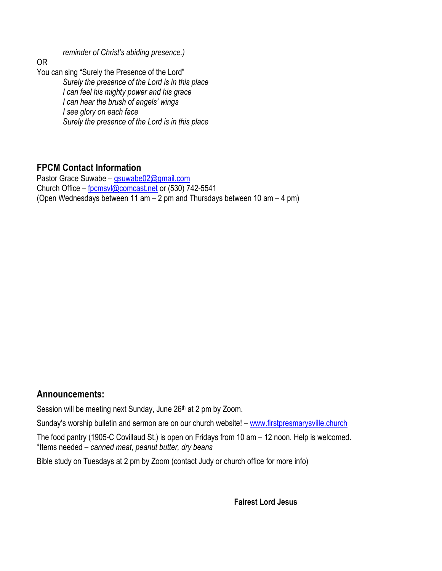*reminder of Christ's abiding presence.)*

OR

You can sing "Surely the Presence of the Lord" *Surely the presence of the Lord is in this place I can feel his mighty power and his grace I can hear the brush of angels' wings I see glory on each face Surely the presence of the Lord is in this place*

#### **FPCM Contact Information**

Pastor Grace Suwabe – gsuwabe02@gmail.com Church Office – fpcmsvl@comcast.net or (530) 742-5541 (Open Wednesdays between 11 am – 2 pm and Thursdays between 10 am – 4 pm)

#### **Announcements:**

Session will be meeting next Sunday, June 26th at 2 pm by Zoom.

Sunday's worship bulletin and sermon are on our church website! – www.firstpresmarysville.church

The food pantry (1905-C Covillaud St.) is open on Fridays from 10 am – 12 noon. Help is welcomed. \*Items needed – *canned meat, peanut butter, dry beans*

Bible study on Tuesdays at 2 pm by Zoom (contact Judy or church office for more info)

**Fairest Lord Jesus**